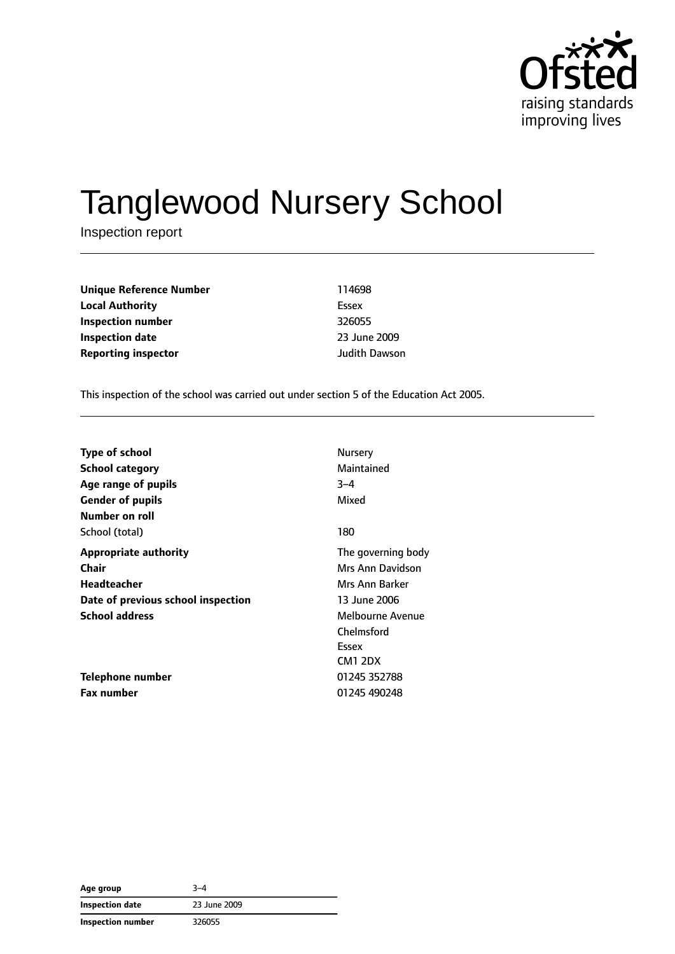

# Tanglewood Nursery School

Inspection report

**Unique Reference Number** 114698 **Local Authority** Essex **Inspection number** 326055 **Inspection date** 2009 **Reporting inspector and a structure of the United Structure Department of the United Structure Department Of the United Structure Department of the United Structure Department of the United Structure Department of the U** 

This inspection of the school was carried out under section 5 of the Education Act 2005.

| <b>Type of school</b>              | Nursery            |
|------------------------------------|--------------------|
| <b>School category</b>             | Maintained         |
| Age range of pupils                | $3 - 4$            |
| <b>Gender of pupils</b>            | Mixed              |
| Number on roll                     |                    |
| School (total)                     | 180                |
| <b>Appropriate authority</b>       | The governing body |
| Chair                              | Mrs Ann Davidson   |
| Headteacher                        | Mrs Ann Barker     |
| Date of previous school inspection | 13 June 2006       |
| <b>School address</b>              | Melbourne Avenue   |
|                                    | Chelmsford         |
|                                    | Essex              |
|                                    | CM1 2DX            |
| Telephone number                   | 01245 352788       |
| <b>Fax number</b>                  | 01245 490248       |

| Age group                | 3–4          |  |
|--------------------------|--------------|--|
| <b>Inspection date</b>   | 23 June 2009 |  |
| <b>Inspection number</b> | 326055       |  |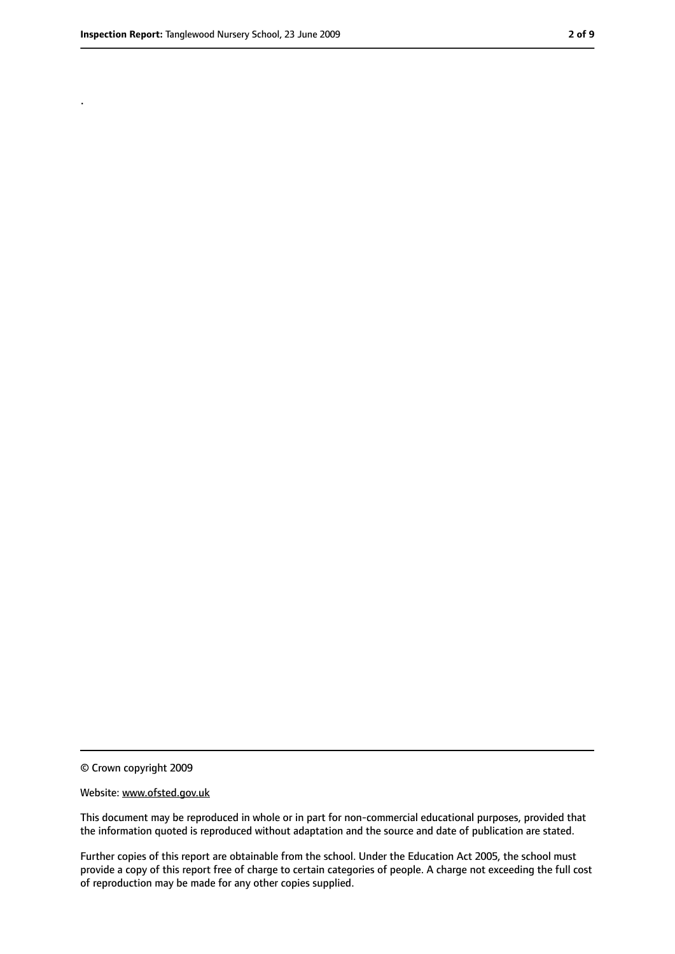.

<sup>©</sup> Crown copyright 2009

Website: www.ofsted.gov.uk

This document may be reproduced in whole or in part for non-commercial educational purposes, provided that the information quoted is reproduced without adaptation and the source and date of publication are stated.

Further copies of this report are obtainable from the school. Under the Education Act 2005, the school must provide a copy of this report free of charge to certain categories of people. A charge not exceeding the full cost of reproduction may be made for any other copies supplied.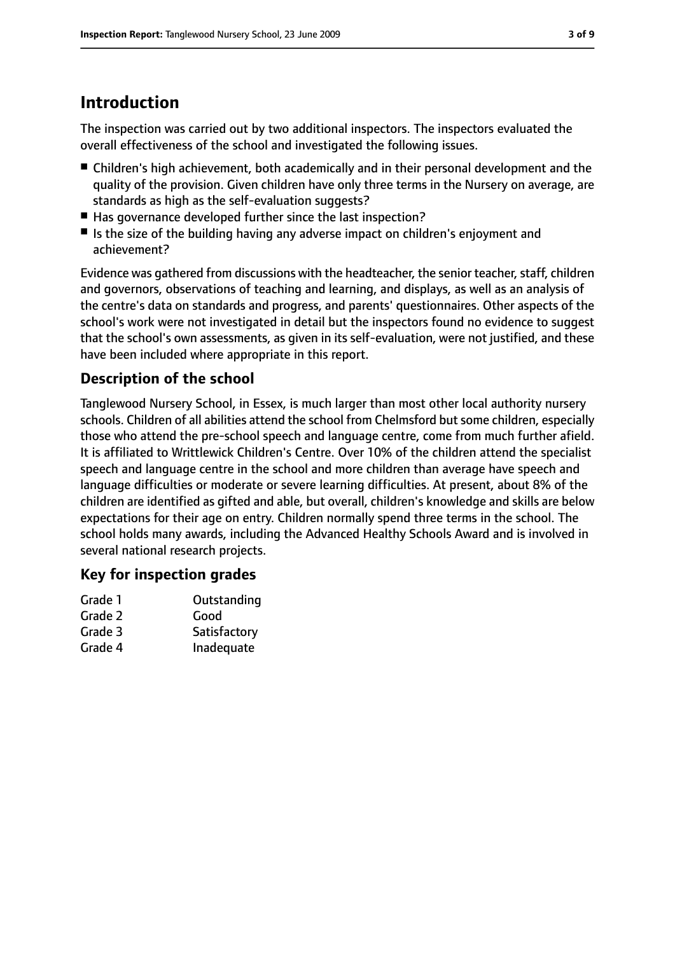## **Introduction**

The inspection was carried out by two additional inspectors. The inspectors evaluated the overall effectiveness of the school and investigated the following issues.

- Children's high achievement, both academically and in their personal development and the quality of the provision. Given children have only three terms in the Nursery on average, are standards as high as the self-evaluation suggests?
- Has governance developed further since the last inspection?
- Is the size of the building having any adverse impact on children's enjoyment and achievement?

Evidence was gathered from discussions with the headteacher, the senior teacher, staff, children and governors, observations of teaching and learning, and displays, as well as an analysis of the centre's data on standards and progress, and parents' questionnaires. Other aspects of the school's work were not investigated in detail but the inspectors found no evidence to suggest that the school's own assessments, as given in its self-evaluation, were not justified, and these have been included where appropriate in this report.

#### **Description of the school**

Tanglewood Nursery School, in Essex, is much larger than most other local authority nursery schools. Children of all abilities attend the school from Chelmsford but some children, especially those who attend the pre-school speech and language centre, come from much further afield. It is affiliated to Writtlewick Children's Centre. Over 10% of the children attend the specialist speech and language centre in the school and more children than average have speech and language difficulties or moderate or severe learning difficulties. At present, about 8% of the children are identified as gifted and able, but overall, children's knowledge and skills are below expectations for their age on entry. Children normally spend three terms in the school. The school holds many awards, including the Advanced Healthy Schools Award and is involved in several national research projects.

#### **Key for inspection grades**

| Grade 1 | Outstanding  |
|---------|--------------|
| Grade 2 | Good         |
| Grade 3 | Satisfactory |
| Grade 4 | Inadequate   |
|         |              |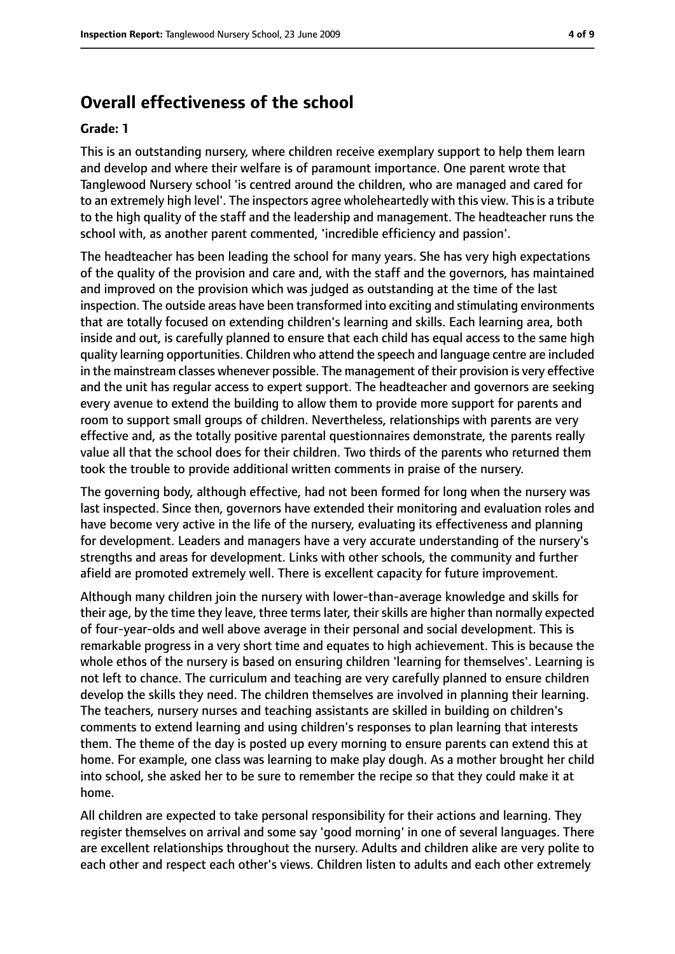#### **Overall effectiveness of the school**

#### **Grade: 1**

This is an outstanding nursery, where children receive exemplary support to help them learn and develop and where their welfare is of paramount importance. One parent wrote that Tanglewood Nursery school 'is centred around the children, who are managed and cared for to an extremely high level'. The inspectors agree wholeheartedly with this view. This is a tribute to the high quality of the staff and the leadership and management. The headteacher runs the school with, as another parent commented, 'incredible efficiency and passion'.

The headteacher has been leading the school for many years. She has very high expectations of the quality of the provision and care and, with the staff and the governors, has maintained and improved on the provision which was judged as outstanding at the time of the last inspection. The outside areas have been transformed into exciting and stimulating environments that are totally focused on extending children's learning and skills. Each learning area, both inside and out, is carefully planned to ensure that each child has equal access to the same high quality learning opportunities. Children who attend the speech and language centre are included in the mainstream classes whenever possible. The management of their provision is very effective and the unit has regular access to expert support. The headteacher and governors are seeking every avenue to extend the building to allow them to provide more support for parents and room to support small groups of children. Nevertheless, relationships with parents are very effective and, as the totally positive parental questionnaires demonstrate, the parents really value all that the school does for their children. Two thirds of the parents who returned them took the trouble to provide additional written comments in praise of the nursery.

The governing body, although effective, had not been formed for long when the nursery was last inspected. Since then, governors have extended their monitoring and evaluation roles and have become very active in the life of the nursery, evaluating its effectiveness and planning for development. Leaders and managers have a very accurate understanding of the nursery's strengths and areas for development. Links with other schools, the community and further afield are promoted extremely well. There is excellent capacity for future improvement.

Although many children join the nursery with lower-than-average knowledge and skills for their age, by the time they leave, three terms later, their skills are higher than normally expected of four-year-olds and well above average in their personal and social development. This is remarkable progress in a very short time and equates to high achievement. This is because the whole ethos of the nursery is based on ensuring children 'learning for themselves'. Learning is not left to chance. The curriculum and teaching are very carefully planned to ensure children develop the skills they need. The children themselves are involved in planning their learning. The teachers, nursery nurses and teaching assistants are skilled in building on children's comments to extend learning and using children's responses to plan learning that interests them. The theme of the day is posted up every morning to ensure parents can extend this at home. For example, one class was learning to make play dough. As a mother brought her child into school, she asked her to be sure to remember the recipe so that they could make it at home.

All children are expected to take personal responsibility for their actions and learning. They register themselves on arrival and some say 'good morning' in one of several languages. There are excellent relationships throughout the nursery. Adults and children alike are very polite to each other and respect each other's views. Children listen to adults and each other extremely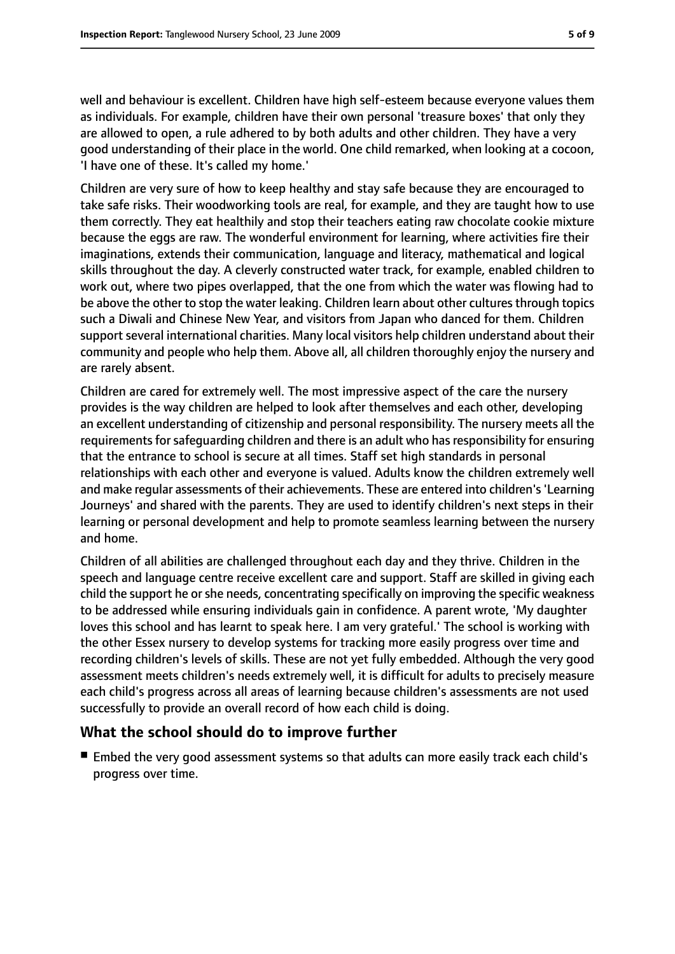well and behaviour is excellent. Children have high self-esteem because everyone values them as individuals. For example, children have their own personal 'treasure boxes' that only they are allowed to open, a rule adhered to by both adults and other children. They have a very good understanding of their place in the world. One child remarked, when looking at a cocoon, 'I have one of these. It's called my home.'

Children are very sure of how to keep healthy and stay safe because they are encouraged to take safe risks. Their woodworking tools are real, for example, and they are taught how to use them correctly. They eat healthily and stop their teachers eating raw chocolate cookie mixture because the eggs are raw. The wonderful environment for learning, where activities fire their imaginations, extends their communication, language and literacy, mathematical and logical skills throughout the day. A cleverly constructed water track, for example, enabled children to work out, where two pipes overlapped, that the one from which the water was flowing had to be above the other to stop the water leaking. Children learn about other cultures through topics such a Diwali and Chinese New Year, and visitors from Japan who danced for them. Children support several international charities. Many local visitors help children understand about their community and people who help them. Above all, all children thoroughly enjoy the nursery and are rarely absent.

Children are cared for extremely well. The most impressive aspect of the care the nursery provides is the way children are helped to look after themselves and each other, developing an excellent understanding of citizenship and personal responsibility. The nursery meets all the requirements for safeguarding children and there is an adult who has responsibility for ensuring that the entrance to school is secure at all times. Staff set high standards in personal relationships with each other and everyone is valued. Adults know the children extremely well and make regular assessments of their achievements. These are entered into children's'Learning Journeys' and shared with the parents. They are used to identify children's next steps in their learning or personal development and help to promote seamless learning between the nursery and home.

Children of all abilities are challenged throughout each day and they thrive. Children in the speech and language centre receive excellent care and support. Staff are skilled in giving each child the support he orshe needs, concentrating specifically on improving the specific weakness to be addressed while ensuring individuals gain in confidence. A parent wrote, 'My daughter loves this school and has learnt to speak here. I am very grateful.' The school is working with the other Essex nursery to develop systems for tracking more easily progress over time and recording children's levels of skills. These are not yet fully embedded. Although the very good assessment meets children's needs extremely well, it is difficult for adults to precisely measure each child's progress across all areas of learning because children's assessments are not used successfully to provide an overall record of how each child is doing.

#### **What the school should do to improve further**

■ Embed the very good assessment systems so that adults can more easily track each child's progress over time.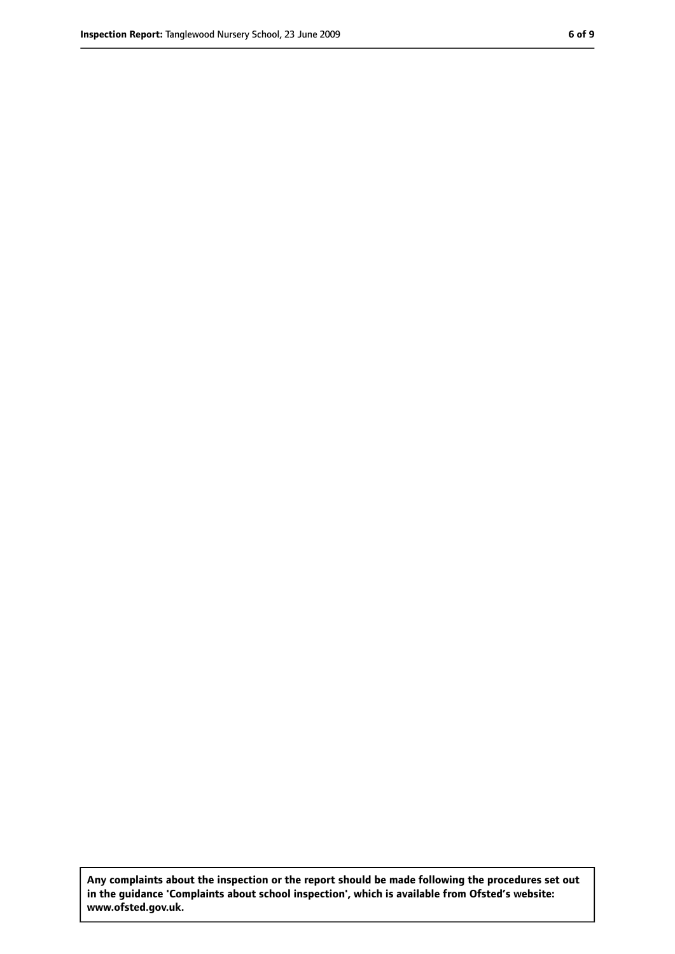**Any complaints about the inspection or the report should be made following the procedures set out in the guidance 'Complaints about school inspection', which is available from Ofsted's website: www.ofsted.gov.uk.**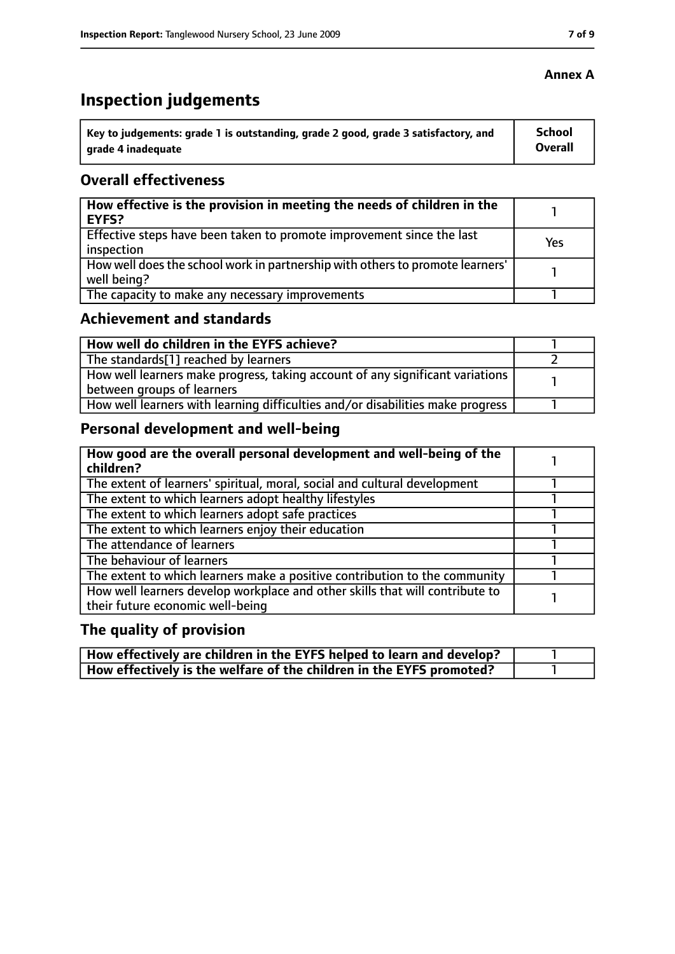## **Inspection judgements**

| $^{\prime}$ Key to judgements: grade 1 is outstanding, grade 2 good, grade 3 satisfactory, and | School  |
|------------------------------------------------------------------------------------------------|---------|
| arade 4 inadequate                                                                             | Overall |

## **Overall effectiveness**

| How effective is the provision in meeting the needs of children in the<br>EYFS?              |     |
|----------------------------------------------------------------------------------------------|-----|
| Effective steps have been taken to promote improvement since the last<br>inspection          | Yes |
| How well does the school work in partnership with others to promote learners'<br>well being? |     |
| The capacity to make any necessary improvements                                              |     |

## **Achievement and standards**

| How well do children in the EYFS achieve?                                                                   |  |
|-------------------------------------------------------------------------------------------------------------|--|
| The standards[1] reached by learners                                                                        |  |
| How well learners make progress, taking account of any significant variations<br>between groups of learners |  |
| How well learners with learning difficulties and/or disabilities make progress                              |  |

## **Personal development and well-being**

| How good are the overall personal development and well-being of the<br>children?                                 |  |
|------------------------------------------------------------------------------------------------------------------|--|
| The extent of learners' spiritual, moral, social and cultural development                                        |  |
| The extent to which learners adopt healthy lifestyles                                                            |  |
| The extent to which learners adopt safe practices                                                                |  |
| The extent to which learners enjoy their education                                                               |  |
| The attendance of learners                                                                                       |  |
| The behaviour of learners                                                                                        |  |
| The extent to which learners make a positive contribution to the community                                       |  |
| How well learners develop workplace and other skills that will contribute to<br>their future economic well-being |  |

## **The quality of provision**

| How effectively are children in the EYFS helped to learn and develop? |  |
|-----------------------------------------------------------------------|--|
| How effectively is the welfare of the children in the EYFS promoted?  |  |

#### **Annex A**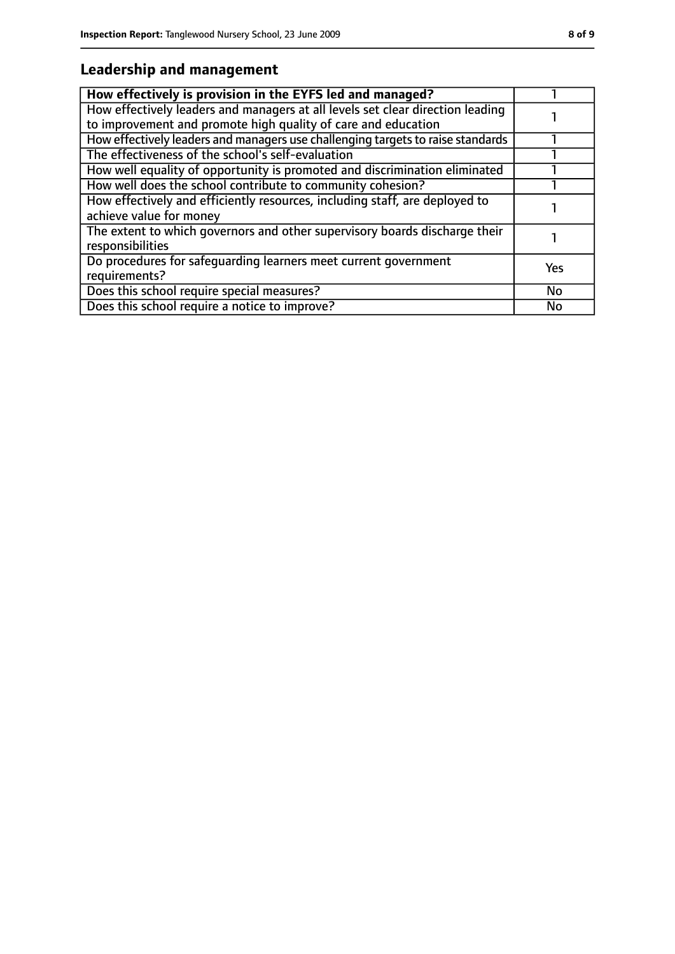## **Leadership and management**

| How effectively is provision in the EYFS led and managed?                                                                                       |           |
|-------------------------------------------------------------------------------------------------------------------------------------------------|-----------|
| How effectively leaders and managers at all levels set clear direction leading<br>to improvement and promote high quality of care and education |           |
| How effectively leaders and managers use challenging targets to raise standards                                                                 |           |
| The effectiveness of the school's self-evaluation                                                                                               |           |
| How well equality of opportunity is promoted and discrimination eliminated                                                                      |           |
| How well does the school contribute to community cohesion?                                                                                      |           |
| How effectively and efficiently resources, including staff, are deployed to<br>achieve value for money                                          |           |
| The extent to which governors and other supervisory boards discharge their<br>responsibilities                                                  |           |
| Do procedures for safeguarding learners meet current government<br>requirements?                                                                | Yes       |
| Does this school require special measures?                                                                                                      | <b>No</b> |
| Does this school require a notice to improve?                                                                                                   | No        |